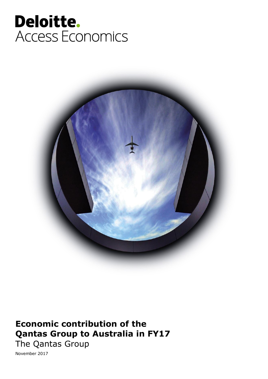### Deloitte. Access Economics



### **Economic contribution of the Qantas Group to Australia in FY17**

The Qantas Group

November 2017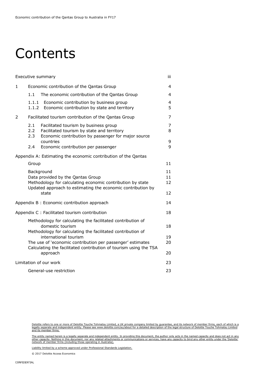### Contents

| Executive summary                                                                                                                                                            |                                           |                                                                                                                                                          |             |  |  |  |  |  |
|------------------------------------------------------------------------------------------------------------------------------------------------------------------------------|-------------------------------------------|----------------------------------------------------------------------------------------------------------------------------------------------------------|-------------|--|--|--|--|--|
| 1                                                                                                                                                                            | Economic contribution of the Qantas Group |                                                                                                                                                          |             |  |  |  |  |  |
|                                                                                                                                                                              | 1.1                                       | The economic contribution of the Qantas Group                                                                                                            | 4           |  |  |  |  |  |
|                                                                                                                                                                              | 1.1.1<br>1.1.2                            | Economic contribution by business group<br>Economic contribution by state and territory                                                                  | 4<br>5      |  |  |  |  |  |
| 2                                                                                                                                                                            |                                           | Facilitated tourism contribution of the Qantas Group                                                                                                     | 7           |  |  |  |  |  |
|                                                                                                                                                                              | 2.1<br>$2.2^{\circ}$<br>2.3               | Facilitated tourism by business group<br>Facilitated tourism by state and territory<br>Economic contribution by passenger for major source<br>countries  | 7<br>8<br>9 |  |  |  |  |  |
|                                                                                                                                                                              | 2.4                                       | Economic contribution per passenger                                                                                                                      | 9           |  |  |  |  |  |
|                                                                                                                                                                              |                                           | Appendix A: Estimating the economic contribution of the Qantas                                                                                           |             |  |  |  |  |  |
|                                                                                                                                                                              | Group                                     |                                                                                                                                                          | 11          |  |  |  |  |  |
| Background<br>Data provided by the Qantas Group<br>Methodology for calculating economic contribution by state<br>Updated approach to estimating the economic contribution by |                                           |                                                                                                                                                          |             |  |  |  |  |  |
|                                                                                                                                                                              |                                           | state                                                                                                                                                    | 12          |  |  |  |  |  |
|                                                                                                                                                                              |                                           | Appendix B: Economic contribution approach                                                                                                               | 14          |  |  |  |  |  |
|                                                                                                                                                                              |                                           | Appendix C : Facilitated tourism contribution                                                                                                            | 18          |  |  |  |  |  |
|                                                                                                                                                                              |                                           | Methodology for calculating the facilitated contribution of<br>domestic tourism<br>Methodology for calculating the facilitated contribution of           | 18          |  |  |  |  |  |
|                                                                                                                                                                              |                                           | international tourism<br>The use of 'economic contribution per passenger' estimates<br>Calculating the facilitated contribution of tourism using the TSA | 19<br>20    |  |  |  |  |  |
|                                                                                                                                                                              |                                           | approach                                                                                                                                                 | 20          |  |  |  |  |  |
|                                                                                                                                                                              |                                           | Limitation of our work                                                                                                                                   | 23          |  |  |  |  |  |
| General-use restriction<br>23                                                                                                                                                |                                           |                                                                                                                                                          |             |  |  |  |  |  |

Deloitte refers to one or more of Deloitte Touche Tohmatsu Limited, a UK private company limited by guarantee, and its network of member firms, each of which is a<br>legally separate and independent entity. Please see www.del and its member firms.

The entity named herein is a legally separate and independent entity. In providing this document, the author only acts in the named capacity and does not act in any<br>other capacity. Nothing in this document, nor any related

Liability limited by a scheme approved under Professional Standards Legislation.

© 2017 Deloitte Access Economics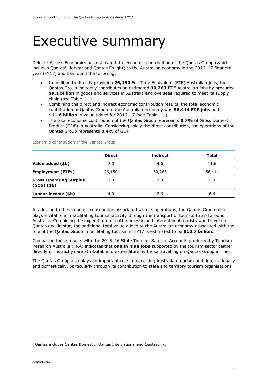### <span id="page-2-0"></span>Executive summary

Deloitte Access Economics has estimated the economic contribution of the Qantas Group (which includes Qantas<sup>1</sup>, Jetstar and Qantas Freight) to the Australian economy in the 2016-17 financial year (FY17) and has found the following:

- In addition to directly providing **26,150** Full Time Equivalent (FTE) Australian jobs, the Qantas Group indirectly contributes an estimated **30,263 FTE** Australian jobs by procuring **\$9.1 billion** in goods and services in Australia and overseas required to meet its supply chain (see Table 1.1).
- Combining the direct and indirect economic contribution results, the total economic contribution of Qantas Group to the Australian economy was **56,414 FTE jobs** and **\$11.6 billion** in value added for 2016–17 (see Table 1.1).
- The total economic contribution of the Qantas Group represents **0.7%** of Gross Domestic Product (GDP) in Australia. Considering solely the direct contribution, the operations of the Qantas Group represents **0.4%** of GDP.

|                                                       | <b>Direct</b> | Indirect | Total  |
|-------------------------------------------------------|---------------|----------|--------|
| Value added (\$b)                                     | 7.0           | 4.6      | 11.6   |
| <b>Employment (FTEs)</b>                              | 26,150        | 30,263   | 56,414 |
| <b>Gross Operating Surplus</b><br>$(GOS)$ $($ \$b $)$ | 3.0           | 2.0      | 5.0    |
| Labour income (\$b)                                   | 4.0           | 2.6      | 6.6    |

Economic contribution of the Qantas Group

In addition to the economic contribution associated with its operations, the Qantas Group also plays a vital role in facilitating tourism activity through the transport of tourists to and around Australia. Combining the expenditure of both domestic and international tourists who travel on Qantas and Jetstar, the additional total value added to the Australian economy associated with the role of the Qantas Group in facilitating tourism in FY17 is estimated to be **\$10.7 billion.**

Comparing these results with the 2015–16 State Tourism Satellite Accounts produced by Tourism Research Australia (TRA) indicates that **one in nine jobs** supported by the tourism sector (either directly or indirectly) are attributable to expenditure by those travelling on Qantas Group airlines.

The Qantas Group also plays an important role in marketing Australian tourism both internationally and domestically, particularly through its contribution to state and territory tourism organisations.

-

<sup>1</sup> Qantas includes Qantas Domestic, Qantas International and QantasLink.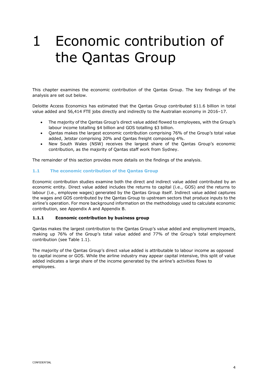### <span id="page-3-0"></span>1 Economic contribution of the Qantas Group

This chapter examines the economic contribution of the Qantas Group. The key findings of the analysis are set out below.

Deloitte Access Economics has estimated that the Qantas Group contributed \$11.6 billion in total value added and 56,414 FTE jobs directly and indirectly to the Australian economy in 2016–17.

- The majority of the Qantas Group's direct value added flowed to employees, with the Group's labour income totalling \$4 billion and GOS totalling \$3 billion.
- Qantas makes the largest economic contribution comprising 76% of the Group's total value added, Jetstar comprising 20% and Qantas freight composing 4%.
- New South Wales (NSW) receives the largest share of the Qantas Group's economic contribution, as the majority of Qantas staff work from Sydney.

The remainder of this section provides more details on the findings of the analysis.

#### <span id="page-3-1"></span>**1.1 The economic contribution of the Qantas Group**

Economic contribution studies examine both the direct and indirect value added contributed by an economic entity. Direct value added includes the returns to capital (i.e., GOS) and the returns to labour (i.e., employee wages) generated by the Qantas Group itself. Indirect value added captures the wages and GOS contributed by the Qantas Group to upstream sectors that produce inputs to the airline's operation. For more background information on the methodology used to calculate economic contribution, see Appendix A and Appendix B.

#### <span id="page-3-2"></span>**1.1.1 Economic contribution by business group**

Qantas makes the largest contribution to the Qantas Group's value added and employment impacts, making up 76% of the Group's total value added and 77% of the Group's total employment contribution (see Table 1.1).

The majority of the Qantas Group's direct value added is attributable to labour income as opposed to capital income or GOS. While the airline industry may appear capital intensive, this split of value added indicates a large share of the income generated by the airline's activities flows to employees.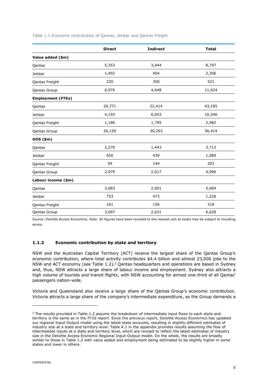| Table 1.1 Economic contribution of Qantas, Jetstar and Qantas Freight |  |  |  |
|-----------------------------------------------------------------------|--|--|--|
|-----------------------------------------------------------------------|--|--|--|

|                          | <b>Direct</b> | <b>Indirect</b> | <b>Total</b> |
|--------------------------|---------------|-----------------|--------------|
| Value added (\$m)        |               |                 |              |
| Qantas                   | 5,353         | 3,444           | 8,797        |
| Jetstar                  | 1,402         | 904             | 2,306        |
| Qantas Freight           | 220           | 300             | 521          |
| Qantas Group             | 6,976         | 4,648           | 11,624       |
| <b>Employment (FTEs)</b> |               |                 |              |
| Qantas                   | 20,771        | 22,414          | 43,185       |
| Jetstar                  | 4,193         | 6,053           | 10,246       |
| Qantas Freight           | 1,186         | 1,795           | 2,982        |
| Qantas Group             | 26,150        | 30,263          | 56,414       |
| $GOS$ $(\$m)$            |               |                 |              |
| Qantas                   | 2,270         | 1,443           | 3,713        |
| Jetstar                  | 650           | 430             | 1,080        |
| Qantas Freight           | 59            | 144             | 203          |
| <b>Qantas Group</b>      | 2,979         | 2,017           | 4,996        |
| Labour income (\$m)      |               |                 |              |
| Qantas                   | 3,083         | 2,001           | 5,084        |
| Jetstar                  | 753           | 473             | 1,226        |
| Qantas Freight           | 161           | 156             | 318          |
| Qantas Group             | 3,997         | 2,631           | 6,628        |

Source: Deloitte Access Economics. Note: All figures have been rounded to the nearest unit so totals may be subject to rounding errors.

#### <span id="page-4-0"></span>**1.1.2 Economic contribution by state and territory**

NSW and the Australian Capital Territory (ACT) receive the largest share of the Qantas Group's economic contribution, where total activity contributes \$4.4 billion and almost 23,000 jobs to the NSW and ACT economy (see Table 1.2).<sup>2</sup> Qantas headquarters and operations are based in Sydney and, thus, NSW attracts a large share of labour income and employment. Sydney also attracts a high volume of tourists and transit flights, with NSW accounting for almost one-third of all Qantas' passengers nation-wide.

Victoria and Queensland also receive a large share of the Qantas Group's economic contribution. Victoria attracts a large share of the company's intermediate expenditure, as the Group demands a

-

 $2$  The results provided in Table 1.2 assume the breakdown of intermediate input flows to each state and territory is the same as in the FY16 report. Since the previous report, Deloitte Access Economics has updated our regional Input-Output model using the latest state accounts, resulting in slightly different estimates of industry size at a state and territory level. Table A.1 in the appendix provides results assuming the flow of intermediate inputs at a state and territory level, which are revised to reflect the latest estimates of industry size in the Deloitte Access Economic Regional Input-Output model. On the whole, the results are broadly similar to those in Table 1.2 with value added and employment being estimated to be slightly higher in some states and lower in others.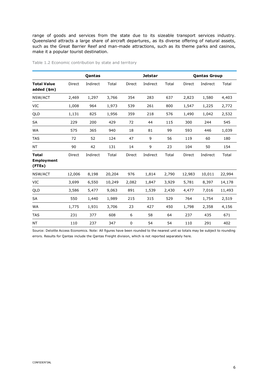range of goods and services from the state due to its sizeable transport services industry. Queensland attracts a large share of aircraft departures, as its diverse offering of natural assets, such as the Great Barrier Reef and man-made attractions, such as its theme parks and casinos, make it a popular tourist destination.

|                                             |        | Qantas   |        |        | <b>Jetstar</b> |       | <b>Qantas Group</b> |          |        |  |
|---------------------------------------------|--------|----------|--------|--------|----------------|-------|---------------------|----------|--------|--|
| <b>Total Value</b><br>added (\$m)           | Direct | Indirect | Total  | Direct | Indirect       | Total | Direct              | Indirect | Total  |  |
| NSW/ACT                                     | 2,469  | 1,297    | 3,766  | 354    | 283            | 637   | 2,823               | 1,580    | 4,403  |  |
| <b>VIC</b>                                  | 1,008  | 964      | 1,973  | 539    | 261            | 800   | 1,547               | 1,225    | 2,772  |  |
| QLD                                         | 1,131  | 825      | 1,956  | 359    | 218            | 576   | 1,490               | 1,042    | 2,532  |  |
| <b>SA</b>                                   | 229    | 200      | 429    | 72     | 44             | 115   | 300                 | 244      | 545    |  |
| WA                                          | 575    | 365      | 940    | 18     | 81             | 99    | 593                 | 446      | 1,039  |  |
| <b>TAS</b>                                  | 72     | 52       | 124    | 47     | 9              | 56    | 119                 | 60       | 180    |  |
| <b>NT</b>                                   | 90     | 42       | 131    | 14     | 9              | 23    | 104                 | 50       | 154    |  |
| <b>Total</b><br><b>Employment</b><br>(FTEs) | Direct | Indirect | Total  | Direct | Indirect       | Total | Direct              | Indirect | Total  |  |
| NSW/ACT                                     | 12,006 | 8,198    | 20,204 | 976    | 1,814          | 2,790 | 12,983              | 10,011   | 22,994 |  |
| <b>VIC</b>                                  | 3,699  | 6,550    | 10,249 | 2,082  | 1,847          | 3,929 | 5,781               | 8,397    | 14,178 |  |
| QLD                                         | 3,586  | 5,477    | 9,063  | 891    | 1,539          | 2,430 | 4,477               | 7,016    | 11,493 |  |
| <b>SA</b>                                   | 550    | 1,440    | 1,989  | 215    | 315            | 529   | 764                 | 1,754    | 2,519  |  |
| <b>WA</b>                                   | 1,775  | 1,931    | 3,706  | 23     | 427            | 450   | 1,798               | 2,358    | 4,156  |  |
| <b>TAS</b>                                  | 231    | 377      | 608    | 6      | 58             | 64    | 237                 | 435      | 671    |  |
| <b>NT</b>                                   | 110    | 237      | 347    | 0      | 54             | 54    | 110                 | 291      | 402    |  |

Table 1.2 Economic contribution by state and territory

Source: Deloitte Access Economics. Note: All figures have been rounded to the nearest unit so totals may be subject to rounding errors. Results for Qantas include the Qantas Freight division, which is not reported separately here.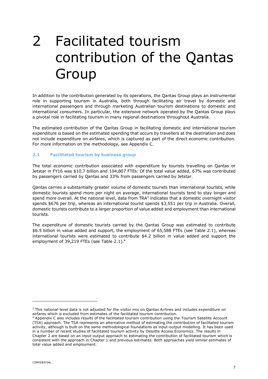# <span id="page-6-0"></span>2 Facilitated tourism contribution of the Qantas Group

In addition to the contribution generated by its operations, the Qantas Group plays an instrumental role in supporting tourism in Australia, both through facilitating air travel by domestic and international passengers and through marketing Australian tourism destinations to domestic and international consumers. In particular, the extensive network operated by the Qantas Group plays a pivotal role in facilitating tourism in many regional destinations throughout Australia.

The estimated contribution of the Qantas Group in facilitating domestic and international tourism expenditure is based on the estimated spending that occurs by travellers at the destination and does not include expenditure on airfares, which is captured as part of the direct economic contribution. For more information on the methodology, see Appendix C.

#### <span id="page-6-1"></span>**2.1 Facilitated tourism by business group**

The total economic contribution associated with expenditure by tourists travelling on Qantas or Jetstar in FY16 was \$10.7 billion and 104,807 FTEs. Of the total value added, 67% was contributed by passengers carried by Qantas and 33% from passengers carried by Jetstar.

Qantas carries a substantially greater volume of domestic tourists than international tourists, while domestic tourists spend more per night on average, international tourists tend to stay longer and spend more overall. At the national level, data from TRA $3$  indicates that a domestic overnight visitor spends \$676 per trip, whereas an international tourist spends \$3,551 per trip in Australia. Overall, domestic tourists contribute to a larger proportion of value added and employment than international tourists.

The expenditure of domestic tourists carried by the Qantas Group was estimated to contribute \$6.5 billion in value added and support, the employment of 65,588 FTEs (see [Table 2.1\)](#page-7-1), whereas international tourists were estimated to contribute \$4.2 billion in value added and support the employment of 39,219 FTEs (see Table 2.1). 4

-

<sup>&</sup>lt;sup>3</sup> This national-level data is not adjusted for the visitor mix on Qantas Airlines and includes expenditure on airfares which is excluded from estimates of the facilitated tourism contribution.

<sup>4</sup> Appendix C also includes results of the facilitated tourism contribution using the Tourism Satellite Account (TSA) approach. The TSA represents an alternative method of estimating the contribution of facilitated tourism activity, although is built on the same methodological foundations as input-output modelling. It has been used in a number of recent studies of facilitated tourism activity by Deloitte Access Economics. The results in Chapter 2 are based on an input-output approach to estimating the contribution of facilitated tourism which is consistent with the approach in Chapter 1 and previous estimates. Both approaches yield similar estimates of total value added and employment.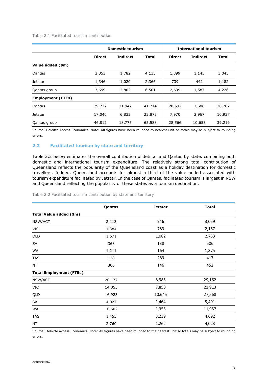<span id="page-7-1"></span>Table 2.1 Facilitated tourism contribution

|                          |               | <b>Domestic tourism</b> | <b>International tourism</b> |               |                 |              |
|--------------------------|---------------|-------------------------|------------------------------|---------------|-----------------|--------------|
|                          | <b>Direct</b> | <b>Indirect</b>         | <b>Total</b>                 | <b>Direct</b> | <b>Indirect</b> | <b>Total</b> |
| Value added (\$m)        |               |                         |                              |               |                 |              |
| Qantas                   | 2,353         | 1,782                   | 4,135                        | 1,899         | 1,145           | 3,045        |
| Jetstar                  | 1,346         | 1,020                   | 2,366                        | 739           | 442             | 1,182        |
| Qantas group             | 3,699         | 2,802                   | 6,501                        | 2,639         | 1,587           | 4,226        |
| <b>Employment (FTEs)</b> |               |                         |                              |               |                 |              |
| Qantas                   | 29,772        | 11,942                  | 41,714                       | 20,597        | 7,686           | 28,282       |
| Jetstar                  | 17,040        | 6,833                   | 23,873                       | 7,970         | 2,967           | 10,937       |
| Qantas group             | 46,812        | 18,775                  | 65,588                       | 28,566        | 10,653          | 39,219       |

Source: Deloitte Access Economics. Note: All figures have been rounded to nearest unit so totals may be subject to rounding errors.

#### <span id="page-7-0"></span>**2.2 Facilitated tourism by state and territory**

[Table 2.2](#page-7-2) below estimates the overall contribution of Jetstar and Qantas by state, combining both domestic and international tourism expenditure. The relatively strong total contribution of Queensland reflects the popularity of the Queensland coast as a holiday destination for domestic travellers. Indeed, Queensland accounts for almost a third of the value added associated with tourism expenditure facilitated by Jetstar. In the case of Qantas, facilitated tourism is largest in NSW and Queensland reflecting the popularity of these states as a tourism destination.

|                                | Qantas | <b>Jetstar</b> | <b>Total</b> |
|--------------------------------|--------|----------------|--------------|
| Total Value added (\$m)        |        |                |              |
| NSW/ACT                        | 2,113  | 946            | 3,059        |
| VIC                            | 1,384  | 783            | 2,167        |
| QLD                            | 1,671  | 1,082          | 2,753        |
| SA                             | 368    | 138            | 506          |
| WA                             | 1,211  | 164            | 1,375        |
| <b>TAS</b>                     | 128    | 289            | 417          |
| NT                             | 306    | 146            | 452          |
| <b>Total Employment (FTEs)</b> |        |                |              |
| NSW/ACT                        | 20,177 | 8,985          | 29,162       |
| VIC                            | 14,055 | 7,858          | 21,913       |
| QLD                            | 16,923 | 10,645         | 27,568       |
| SA                             | 4,027  | 1,464          | 5,491        |
| WA                             | 10,602 | 1,355          | 11,957       |
| <b>TAS</b>                     | 1,453  | 3,239          | 4,692        |
| NT                             | 2,760  | 1,262          | 4,023        |

<span id="page-7-2"></span>Table 2.2 Facilitated tourism contribution by state and territory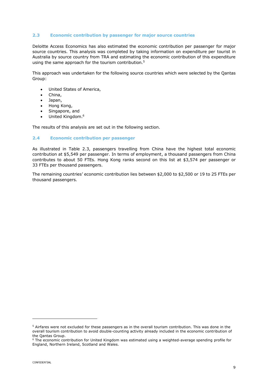#### <span id="page-8-0"></span>**2.3 Economic contribution by passenger for major source countries**

Deloitte Access Economics has also estimated the economic contribution per passenger for major source countries. This analysis was completed by taking information on expenditure per tourist in Australia by source country from TRA and estimating the economic contribution of this expenditure using the same approach for the tourism contribution.<sup>5</sup>

This approach was undertaken for the following source countries which were selected by the Qantas Group:

- United States of America,
- China,
- Japan,
- Hong Kong,
- Singapore, and
- United Kingdom.<sup>6</sup>

The results of this analysis are set out in the following section.

#### <span id="page-8-1"></span>**2.4 Economic contribution per passenger**

As illustrated in Table 2.3, passengers travelling from China have the highest total economic contribution at \$5,549 per passenger. In terms of employment, a thousand passengers from China contributes to about 50 FTEs. Hong Kong ranks second on this list at \$3,574 per passenger or 33 FTEs per thousand passengers.

The remaining countries' economic contribution lies between \$2,000 to \$2,500 or 19 to 25 FTEs per thousand passengers.

-

<sup>5</sup> Airfares were not excluded for these passengers as in the overall tourism contribution. This was done in the overall tourism contribution to avoid double-counting activity already included in the economic contribution of the Qantas Group.

<sup>&</sup>lt;sup>6</sup> The economic contribution for United Kingdom was estimated using a weighted-average spending profile for England, Northern Ireland, Scotland and Wales.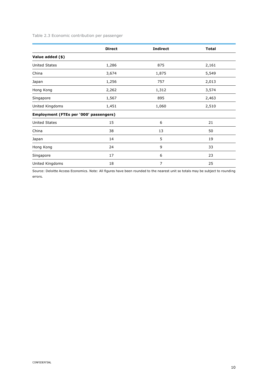#### Table 2.3 Economic contribution per passenger

|                                        | <b>Direct</b> | <b>Indirect</b> | <b>Total</b> |
|----------------------------------------|---------------|-----------------|--------------|
| Value added (\$)                       |               |                 |              |
| <b>United States</b>                   | 1,286         | 875             | 2,161        |
| China                                  | 3,674         | 1,875           | 5,549        |
| Japan                                  | 1,256         | 757             | 2,013        |
| Hong Kong                              | 2,262         | 1,312           | 3,574        |
| Singapore                              | 1,567         | 895             | 2,463        |
| United Kingdoms                        | 1,451         | 1,060           | 2,510        |
| Employment (FTEs per '000' passengers) |               |                 |              |
| <b>United States</b>                   | 15            | 6               | 21           |
| China                                  | 38            | 13              | 50           |
| Japan                                  | 14            | 5               | 19           |
| Hong Kong                              | 24            | 9               | 33           |
| Singapore                              | 17            | 6               | 23           |
| United Kingdoms                        | 18            | 7               | 25           |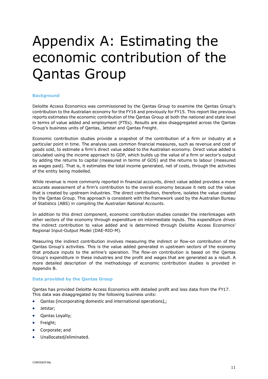# <span id="page-10-0"></span>Appendix A: Estimating the economic contribution of the Qantas Group

#### <span id="page-10-1"></span>**Background**

Deloitte Access Economics was commissioned by the Qantas Group to examine the Qantas Group's contribution to the Australian economy for the FY16 and previously for FY15. This report like previous reports estimates the economic contribution of the Qantas Group at both the national and state level in terms of value added and employment (FTEs). Results are also disaggregated across the Qantas Group's business units of Qantas, Jetstar and Qantas Freight.

Economic contribution studies provide a snapshot of the contribution of a firm or industry at a particular point in time. The analysis uses common financial measures, such as revenue and cost of goods sold, to estimate a firm's direct value added to the Australian economy. Direct value added is calculated using the income approach to GDP, which builds up the value of a firm or sector's output by adding the returns to capital (measured in terms of GOS) and the returns to labour (measured as wages paid). That is, it estimates the total income generated, net of costs, through the activities of the entity being modelled.

While revenue is more commonly reported in financial accounts, direct value added provides a more accurate assessment of a firm's contribution to the overall economy because it nets out the value that is created by upstream industries. The direct contribution, therefore, isolates the value *created* by the Qantas Group. This approach is consistent with the framework used by the Australian Bureau of Statistics (ABS) in compiling the *Australian National Accounts*.

In addition to this direct component, economic contribution studies consider the interlinkages with other sectors of the economy through expenditure on intermediate inputs. This expenditure drives the indirect contribution to value added and is determined through Deloitte Access Economics' Regional Input-Output Model (DAE-RIO-M).

Measuring the indirect contribution involves measuring the indirect or flow-on contribution of the Qantas Group's activities. This is the value added generated in upstream sectors of the economy that produce inputs to the airline's operation. The flow-on contribution is based on the Qantas Group's expenditure in these industries and the profit and wages that are generated as a result. A more detailed description of the methodology of economic contribution studies is provided in Appendix B.

#### <span id="page-10-2"></span>**Data provided by the Qantas Group**

Qantas has provided Deloitte Access Economics with detailed profit and loss data from the FY17. This data was disaggregated by the following business units:

- Qantas (incorporating domestic and international operations),;
- Jetstar;
- Qantas Loyalty;
- Freight;
- Corporate; and
- Unallocated/eliminated.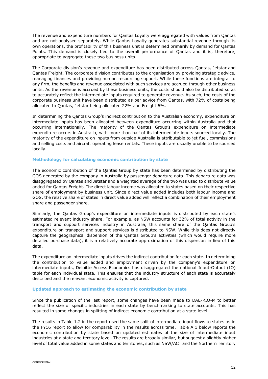The revenue and expenditure numbers for Qantas Loyalty were aggregated with values from Qantas and are not analysed separately. While Qantas Loyalty generates substantial revenue through its own operations, the profitability of this business unit is determined primarily by demand for Qantas Points. This demand is closely tied to the overall performance of Qantas and it is, therefore, appropriate to aggregate these two business units.

The Corporate division's revenue and expenditure has been distributed across Qantas, Jetstar and Qantas Freight. The corporate division contributes to the organisation by providing strategic advice, managing finances and providing human resourcing support. While these functions are integral to any firm, the benefits and revenue associated with such services are accrued through other business units. As the revenue is accrued by these business units, the costs should also be distributed so as to accurately reflect the intermediate inputs required to generate revenue. As such, the costs of the corporate business unit have been distributed as per advice from Qantas, with 72% of costs being allocated to Qantas, Jetstar being allocated 22% and Freight 6%.

In determining the Qantas Group's indirect contribution to the Australian economy, expenditure on intermediate inputs has been allocated between expenditure occurring within Australia and that occurring internationally. The majority of the Qantas Group's expenditure on intermediate expenditure occurs in Australia, with more than half of its intermediate inputs sourced locally. The majority of the expenditure on inputs from outside Australia is attributable to jet fuel, commissions and selling costs and aircraft operating lease rentals. These inputs are usually unable to be sourced locally.

#### <span id="page-11-0"></span>**Methodology for calculating economic contribution by state**

The economic contribution of the Qantas Group by state has been determined by distributing the GOS generated by the company in Australia by passenger departure data. This departure data was disaggregated by Qantas and Jetstar and a weighted average of the two was used to distribute value added for Qantas Freight. The direct labour income was allocated to states based on their respective share of employment by business unit. Since direct value added includes both labour income and GOS, the relative share of states in direct value added will reflect a combination of their employment share and passenger share.

Similarly, the Qantas Group's expenditure on intermediate inputs is distributed by each state's estimated relevant industry share. For example, as NSW accounts for 32% of total activity in the transport and support services industry in Australia, this same share of the Qantas Group's expenditure on transport and support services is distributed to NSW. While this does not directly capture the geographical dispersion of the Qantas Group's activities (which would require more detailed purchase data), it is a relatively accurate approximation of this dispersion in lieu of this data.

The expenditure on intermediate inputs drives the indirect contribution for each state. In determining the contribution to value added and employment driven by the company's expenditure on intermediate inputs, Deloitte Access Economics has disaggregated the national Input-Output (IO) table for each individual state. This ensures that the industry structure of each state is accurately described and the relevant economic activity is captured.

#### <span id="page-11-1"></span>**Updated approach to estimating the economic contribution by state**

Since the publication of the last report, some changes have been made to DAE-RIO-M to better reflect the size of specific industries in each state by benchmarking to state accounts. This has resulted in some changes in splitting of indirect economic contribution at a state level.

The results in Table 1.2 in the report used the same split of intermediate input flows to states as in the FY16 report to allow for comparability in the results across time. Table A.1 below reports the economic contribution by state based on updated estimates of the size of intermediate input industries at a state and territory level. The results are broadly similar, but suggest a slightly higher level of total value added in some states and territories, such as NSW/ACT and the Northern Territory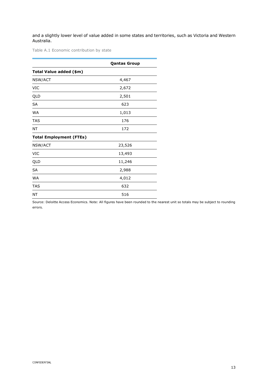and a slightly lower level of value added in some states and territories, such as Victoria and Western Australia.

Table A.1 Economic contribution by state

|                                | <b>Qantas Group</b> |
|--------------------------------|---------------------|
| Total Value added (\$m)        |                     |
| NSW/ACT                        | 4,467               |
| <b>VIC</b>                     | 2,672               |
| QLD                            | 2,501               |
| <b>SA</b>                      | 623                 |
| WA                             | 1,013               |
| TAS                            | 176                 |
| NT                             | 172                 |
| <b>Total Employment (FTEs)</b> |                     |
| NSW/ACT                        | 23,526              |
| <b>VIC</b>                     | 13,493              |
| QLD                            | 11,246              |
| <b>SA</b>                      | 2,988               |
| <b>WA</b>                      | 4,012               |
| <b>TAS</b>                     | 632                 |
| NT                             | 516                 |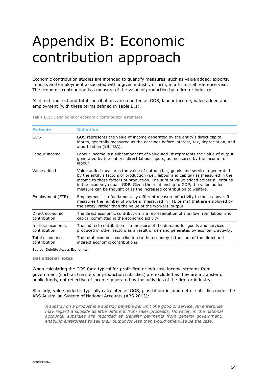# <span id="page-13-0"></span>Appendix B: Economic contribution approach

Economic contribution studies are intended to quantify measures, such as value added, exports, imports and employment associated with a given industry or firm, in a historical reference year. The economic contribution is a measure of the value of production by a firm or industry.

All direct, indirect and total contributions are reported as GOS, labour income, value added and employment (with these terms defined in [Table B.1\)](#page-13-1).

<span id="page-13-1"></span>Table B.1: Definitions of economic contribution estimates

| <b>Estimate</b>                   | <b>Definition</b>                                                                                                                                                                                                                                                                                                                                                                                             |
|-----------------------------------|---------------------------------------------------------------------------------------------------------------------------------------------------------------------------------------------------------------------------------------------------------------------------------------------------------------------------------------------------------------------------------------------------------------|
| GOS                               | GOS represents the value of income generated by the entity's direct capital<br>inputs, generally measured as the earnings before interest, tax, depreciation, and<br>amortisation (EBITDA).                                                                                                                                                                                                                   |
| Labour income                     | Labour income is a subcomponent of value add. It represents the value of output<br>generated by the entity's direct labour inputs, as measured by the income to<br>labour.                                                                                                                                                                                                                                    |
| Value added                       | Value added measures the value of output (i.e., goods and services) generated<br>by the entity's factors of production (i.e., labour and capital) as measured in the<br>income to those factors of production. The sum of value added across all entities<br>in the economy equals GDP. Given the relationship to GDP, the value added<br>measure can be thought of as the increased contribution to welfare. |
| Employment (FTE)                  | Employment is a fundamentally different measure of activity to those above. It<br>measures the number of workers (measured in FTE terms) that are employed by<br>the entity, rather than the value of the workers' output.                                                                                                                                                                                    |
| Direct economic<br>contribution   | The direct economic contribution is a representation of the flow from labour and<br>capital committed in the economic activity.                                                                                                                                                                                                                                                                               |
| Indirect economic<br>contribution | The indirect contribution is a measure of the demand for goods and services<br>produced in other sectors as a result of demand generated by economic activity.                                                                                                                                                                                                                                                |
| Total economic<br>contribution    | The total economic contribution to the economy is the sum of the direct and<br>indirect economic contributions.                                                                                                                                                                                                                                                                                               |

Source: Deloitte Access Economics.

#### **Definitional notes**

When calculating the GOS for a typical for-profit firm or industry, income streams from government (such as transfers or production subsidies) are excluded as they are a transfer of public funds, not reflective of income generated by the activities of the firm or industry.

Similarly, value added is typically calculated as GOS, plus labour income net of subsidies under the ABS Australian System of National Accounts (ABS 2013):

*A subsidy on a product is a subsidy payable per unit of a good or service. An enterprise may regard a subsidy as little different from sales proceeds. However, in the national accounts, subsidies are regarded as transfer payments from general government, enabling enterprises to sell their output for less than would otherwise be the case.*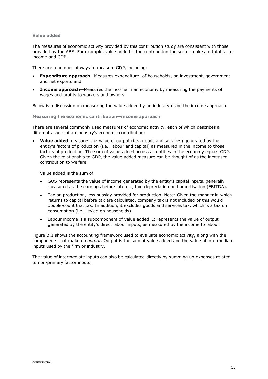#### **Value added**

The measures of economic activity provided by this contribution study are consistent with those provided by the ABS. For example, value added is the contribution the sector makes to total factor income and GDP.

There are a number of ways to measure GDP, including:

- **Expenditure approach**—Measures expenditure: of households, on investment, government and net exports and
- **Income approach**—Measures the income in an economy by measuring the payments of wages and profits to workers and owners.

Below is a discussion on measuring the value added by an industry using the income approach.

**Measuring the economic contribution—income approach**

There are several commonly used measures of economic activity, each of which describes a different aspect of an industry's economic contribution:

 **Value added** measures the value of output (i.e., goods and services) generated by the entity's factors of production (i.e., labour and capital) as measured in the income to those factors of production. The sum of value added across all entities in the economy equals GDP. Given the relationship to GDP, the value added measure can be thought of as the increased contribution to welfare.

Value added is the sum of:

- GOS represents the value of income generated by the entity's capital inputs, generally measured as the earnings before interest, tax, depreciation and amortisation (EBITDA).
- Tax on production, less subsidy provided for production. Note: Given the manner in which returns to capital before tax are calculated, company tax is not included or this would double-count that tax. In addition, it excludes goods and services tax, which is a tax on consumption (i.e., levied on households).
- Labour income is a subcomponent of value added. It represents the value of output generated by the entity's direct labour inputs, as measured by the income to labour.

[Figure B.1](#page-15-0) shows the accounting framework used to evaluate economic activity, along with the components that make up *output*. Output is the sum of value added and the value of intermediate inputs used by the firm or industry.

The value of intermediate inputs can also be calculated directly by summing up expenses related to non-primary factor inputs.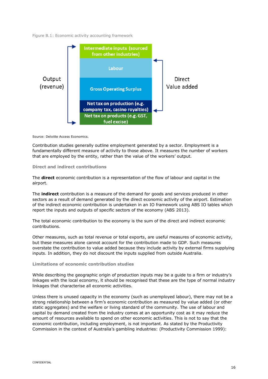<span id="page-15-0"></span>Figure B.1: Economic activity accounting framework



Source: Deloitte Access Economics.

Contribution studies generally outline employment generated by a sector. Employment is a fundamentally different measure of activity to those above. It measures the number of workers that are employed by the entity, rather than the value of the workers' output.

#### **Direct and indirect contributions**

The **direct** economic contribution is a representation of the flow of labour and capital in the airport.

The **indirect** contribution is a measure of the demand for goods and services produced in other sectors as a result of demand generated by the direct economic activity of the airport. Estimation of the indirect economic contribution is undertaken in an IO framework using ABS IO tables which report the inputs and outputs of specific sectors of the economy (ABS 2013).

The total economic contribution to the economy is the sum of the direct and indirect economic contributions.

Other measures, such as total revenue or total exports, are useful measures of economic activity, but these measures alone cannot account for the contribution made to GDP. Such measures overstate the contribution to value added because they include activity by external firms supplying inputs. In addition, they do not discount the inputs supplied from outside Australia.

#### **Limitations of economic contribution studies**

While describing the geographic origin of production inputs may be a guide to a firm or industry's linkages with the local economy, it should be recognised that these are the type of normal industry linkages that characterise all economic activities.

Unless there is unused capacity in the economy (such as unemployed labour), there may not be a strong relationship between a firm's economic contribution as measured by value added (or other static aggregates) and the welfare or living standard of the community. The use of labour and capital by demand created from the industry comes at an opportunity cost as it may reduce the amount of resources available to spend on other economic activities. This is not to say that the economic contribution, including employment, is not important. As stated by the Productivity Commission in the context of Australia's gambling industries: (Productivity Commission 1999):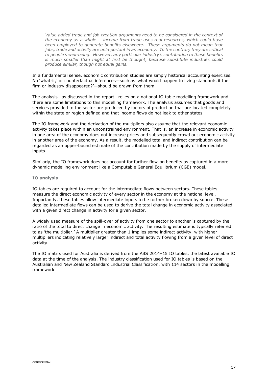*Value added trade and job creation arguments need to be considered in the context of the economy as a whole … income from trade uses real resources, which could have been employed to generate benefits elsewhere. These arguments do not mean that jobs, trade and activity are unimportant in an economy. To the contrary they are critical to people's well-being. However, any particular industry's contribution to these benefits is much smaller than might at first be thought, because substitute industries could produce similar, though not equal gains.*

In a fundamental sense, economic contribution studies are simply historical accounting exercises. No 'what-if,' or counterfactual inferences—such as 'what would happen to living standards if the firm or industry disappeared?'—should be drawn from them.

The analysis—as discussed in the report—relies on a national IO table modelling framework and there are some limitations to this modelling framework. The analysis assumes that goods and services provided to the sector are produced by factors of production that are located completely within the state or region defined and that income flows do not leak to other states.

The IO framework and the derivation of the multipliers also assume that the relevant economic activity takes place within an unconstrained environment. That is, an increase in economic activity in one area of the economy does not increase prices and subsequently crowd out economic activity in another area of the economy. As a result, the modelled total and indirect contribution can be regarded as an upper-bound estimate of the contribution made by the supply of intermediate inputs.

Similarly, the IO framework does not account for further flow-on benefits as captured in a more dynamic modelling environment like a Computable General Equilibrium (CGE) model.

#### **IO analysis**

IO tables are required to account for the intermediate flows between sectors. These tables measure the direct economic activity of every sector in the economy at the national level. Importantly, these tables allow intermediate inputs to be further broken down by source. These detailed intermediate flows can be used to derive the total change in economic activity associated with a given direct change in activity for a given sector.

A widely used measure of the spill-over of activity from one sector to another is captured by the ratio of the total to direct change in economic activity. The resulting estimate is typically referred to as 'the multiplier.' A multiplier greater than 1 implies some indirect activity, with higher multipliers indicating relatively larger indirect and total activity flowing from a given level of direct activity.

The IO matrix used for Australia is derived from the ABS 2014–15 IO tables, the latest available IO data at the time of the analysis. The industry classification used for IO tables is based on the Australian and New Zealand Standard Industrial Classification, with 114 sectors in the modelling framework.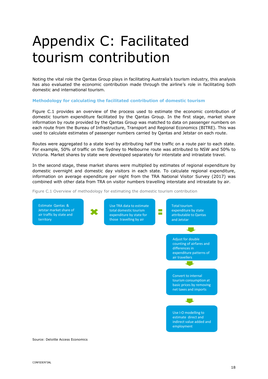# <span id="page-17-0"></span>Appendix C: Facilitated tourism contribution

Noting the vital role the Qantas Group plays in facilitating Australia's tourism industry, this analysis has also evaluated the economic contribution made through the airline's role in facilitating both domestic and international tourism.

#### <span id="page-17-1"></span>**Methodology for calculating the facilitated contribution of domestic tourism**

Figure C.1 provides an overview of the process used to estimate the economic contribution of domestic tourism expenditure facilitated by the Qantas Group. In the first stage, market share information by route provided by the Qantas Group was matched to data on passenger numbers on each route from the Bureau of Infrastructure, Transport and Regional Economics (BITRE). This was used to calculate estimates of passenger numbers carried by Qantas and Jetstar on each route.

Routes were aggregated to a state level by attributing half the traffic on a route pair to each state. For example, 50% of traffic on the Sydney to Melbourne route was attributed to NSW and 50% to Victoria. Market shares by state were developed separately for interstate and intrastate travel.

In the second stage, these market shares were multiplied by estimates of regional expenditure by domestic overnight and domestic day visitors in each state. To calculate regional expenditure, information on average expenditure per night from the TRA National Visitor Survey (2017) was combined with other data from TRA on visitor numbers travelling interstate and intrastate by air.

Figure C.1 Overview of methodology for estimating the domestic tourism contribution



Source: Deloitte Access Economics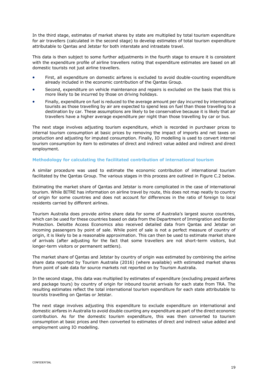In the third stage, estimates of market shares by state are multiplied by total tourism expenditure for air travellers (calculated in the second stage) to develop estimates of total tourism expenditure attributable to Qantas and Jetstar for both interstate and intrastate travel.

This data is then subject to some further adjustments in the fourth stage to ensure it is consistent with the expenditure profile of airline travellers noting that expenditure estimates are based on all domestic tourists not just airline travellers.

- First, all expenditure on domestic airfares is excluded to avoid double-counting expenditure already included in the economic contribution of the Qantas Group.
- Second, expenditure on vehicle maintenance and repairs is excluded on the basis that this is more likely to be incurred by those on driving holidays.
- Finally, expenditure on fuel is reduced to the average amount per day incurred by international tourists as those travelling by air are expected to spend less on fuel than those travelling to a destination by car. These assumptions are likely to be conservative because it is likely that air travellers have a higher average expenditure per night than those travelling by car or bus.

The next stage involves adjusting tourism expenditure, which is recorded in purchaser prices to internal tourism consumption at basic prices by removing the impact of imports and net taxes on production and adjusting for imputed consumption. Finally, IO modelling is used to convert internal tourism consumption by item to estimates of direct and indirect value added and indirect and direct employment.

#### <span id="page-18-0"></span>**Methodology for calculating the facilitated contribution of international tourism**

A similar procedure was used to estimate the economic contribution of international tourism facilitated by the Qantas Group. The various stages in this process are outlined in Figure C.2 below.

Estimating the market share of Qantas and Jetstar is more complicated in the case of international tourism. While BITRE has information on airline travel by route, this does not map neatly to country of origin for some countries and does not account for differences in the ratio of foreign to local residents carried by different airlines.

Tourism Australia does provide airline share data for some of Australia's largest source countries, which can be used for these countries based on data from the Department of Immigration and Border Protection. Deloitte Access Economics also received detailed data from Qantas and Jetstar on incoming passengers by point of sale. While point of sale is not a perfect measure of country of origin, it is likely to be a reasonable approximation. This can then be used to estimate market share of arrivals (after adjusting for the fact that some travellers are not short-term visitors, but longer-term visitors or permanent settlers).

The market share of Qantas and Jetstar by country of origin was estimated by combining the airline share data reported by Tourism Australia (2016) (where available) with estimated market shares from point of sale data for source markets not reported on by Tourism Australia.

In the second stage, this data was multiplied by estimates of expenditure (excluding prepaid airfares and package tours) by country of origin for inbound tourist arrivals for each state from TRA. The resulting estimates reflect the total international tourism expenditure for each state attributable to tourists travelling on Qantas or Jetstar.

The next stage involves adjusting this expenditure to exclude expenditure on international and domestic airfares in Australia to avoid double counting any expenditure as part of the direct economic contribution. As for the domestic tourism expenditure, this was then converted to tourism consumption at basic prices and then converted to estimates of direct and indirect value added and employment using IO modelling.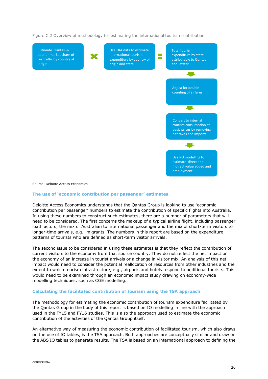Figure C.2 Overview of methodology for estimating the international tourism contribution



#### <span id="page-19-0"></span>**The use of 'economic contribution per passenger' estimates**

Deloitte Access Economics understands that the Qantas Group is looking to use 'economic contribution per passenger' numbers to estimate the contribution of specific flights into Australia. In using these numbers to construct such estimates, there are a number of parameters that will need to be considered. The first concerns the makeup of a typical airline flight, including passenger load factors, the mix of Australian to international passenger and the mix of short-term visitors to longer-time arrivals, e.g., migrants. The numbers in this report are based on the expenditure patterns of tourists who are defined as short-term visitor arrivals.

The second issue to be considered in using these estimates is that they reflect the contribution of current visitors to the economy from that source country. They do not reflect the net impact on the economy of an increase in tourist arrivals or a change in visitor mix. An analysis of this net impact would need to consider the potential reallocation of resources from other industries and the extent to which tourism infrastructure, e.g., airports and hotels respond to additional tourists. This would need to be examined through an economic impact study drawing on economy-wide modelling techniques, such as CGE modelling.

#### <span id="page-19-1"></span>**Calculating the facilitated contribution of tourism using the TSA approach**

The methodology for estimating the economic contribution of tourism expenditure facilitated by the Qantas Group in the body of this report is based on IO modelling in line with the approach used in the FY15 and FY16 studies. This is also the approach used to estimate the economic contribution of the activities of the Qantas Group itself.

An alternative way of measuring the economic contribution of facilitated tourism, which also draws on the use of IO tables, is the TSA approach. Both approaches are conceptually similar and draw on the ABS IO tables to generate results. The TSA is based on an international approach to defining the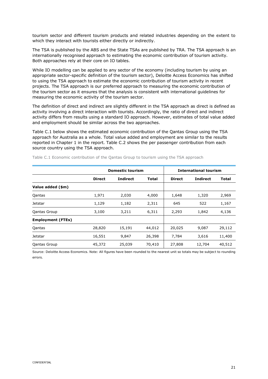tourism sector and different tourism products and related industries depending on the extent to which they interact with tourists either directly or indirectly.

The TSA is published by the ABS and the State TSAs are published by TRA. The TSA approach is an internationally recognised approach to estimating the economic contribution of tourism activity. Both approaches rely at their core on IO tables.

While IO modelling can be applied to any sector of the economy (including tourism by using an appropriate sector-specific definition of the tourism sector), Deloitte Access Economics has shifted to using the TSA approach to estimate the economic contribution of tourism activity in recent projects. The TSA approach is our preferred approach to measuring the economic contribution of the tourism sector as it ensures that the analysis is consistent with international guidelines for measuring the economic activity of the tourism sector.

The definition of direct and indirect are slightly different in the TSA approach as direct is defined as activity involving a direct interaction with tourists. Accordingly, the ratio of direct and indirect activity differs from results using a standard IO approach. However, estimates of total value added and employment should be similar across the two approaches.

Table C.1 below shows the estimated economic contribution of the Qantas Group using the TSA approach for Australia as a whole. Total value added and employment are similar to the results reported in Chapter 1 in the report. Table C.2 shows the per passenger contribution from each source country using the TSA approach.

|                          |               | <b>Domestic tourism</b> | <b>International tourism</b> |               |                 |              |
|--------------------------|---------------|-------------------------|------------------------------|---------------|-----------------|--------------|
|                          | <b>Direct</b> | <b>Indirect</b>         | <b>Total</b>                 | <b>Direct</b> | <b>Indirect</b> | <b>Total</b> |
| Value added (\$m)        |               |                         |                              |               |                 |              |
| Qantas                   | 1,971         | 2,030                   | 4,000                        | 1,648         | 1,320           | 2,969        |
| Jetstar                  | 1,129         | 1,182                   | 2,311                        | 645           | 522             | 1,167        |
| Qantas Group             | 3,100         | 3,211                   | 6,311                        | 2,293         | 1,842           | 4,136        |
| <b>Employment (FTEs)</b> |               |                         |                              |               |                 |              |
| Qantas                   | 28,820        | 15,191                  | 44,012                       | 20,025        | 9,087           | 29,112       |
| Jetstar                  | 16,551        | 9,847                   | 26,398                       | 7,784         | 3,616           | 11,400       |
| <b>Qantas Group</b>      | 45,372        | 25,039                  | 70,410                       | 27,808        | 12,704          | 40,512       |

Table C.1 Economic contribution of the Qantas Group to tourism using the TSA approach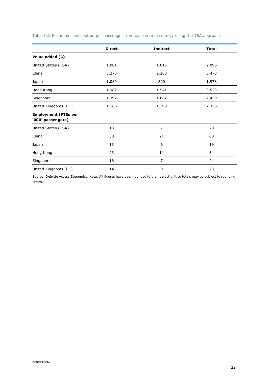|  | Table C.2 Economic contribution per passenger from each source country using the TSA approach |  |  |  |  |  |  |
|--|-----------------------------------------------------------------------------------------------|--|--|--|--|--|--|
|  |                                                                                               |  |  |  |  |  |  |

|                                                  | <b>Direct</b> | <b>Indirect</b> | <b>Total</b> |
|--------------------------------------------------|---------------|-----------------|--------------|
| Value added (\$)                                 |               |                 |              |
| United States (USA)                              | 1,081         | 1,015           | 2,096        |
| China                                            | 3,273         | 2,200           | 5,473        |
| Japan                                            | 1,089         | 890             | 1,978        |
| Hong Kong                                        | 1,982         | 1,541           | 3,523        |
| Singapore                                        | 1,397         | 1,062           | 2,459        |
| United Kingdoms (UK)                             | 1,166         | 1,190           | 2,356        |
| <b>Employment (FTEs per</b><br>'000' passengers) |               |                 |              |
| United States (USA)                              | 13            | $\overline{7}$  | 20           |
| China                                            | 38            | 21              | 60           |
| Japan                                            | 13            | 6               | 19           |
| Hong Kong                                        | 23            | 11              | 34           |
| Singapore                                        | 16            | $\overline{7}$  | 24           |
| United Kingdoms (UK)                             | 14            | 9               | 23           |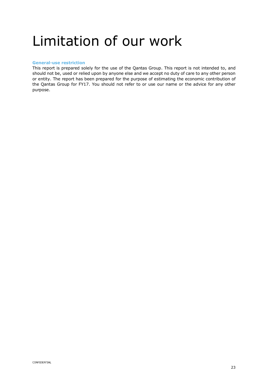### <span id="page-22-0"></span>Limitation of our work

#### <span id="page-22-1"></span>**General-use restriction**

This report is prepared solely for the use of the Qantas Group. This report is not intended to, and should not be, used or relied upon by anyone else and we accept no duty of care to any other person or entity. The report has been prepared for the purpose of estimating the economic contribution of the Qantas Group for FY17. You should not refer to or use our name or the advice for any other purpose.